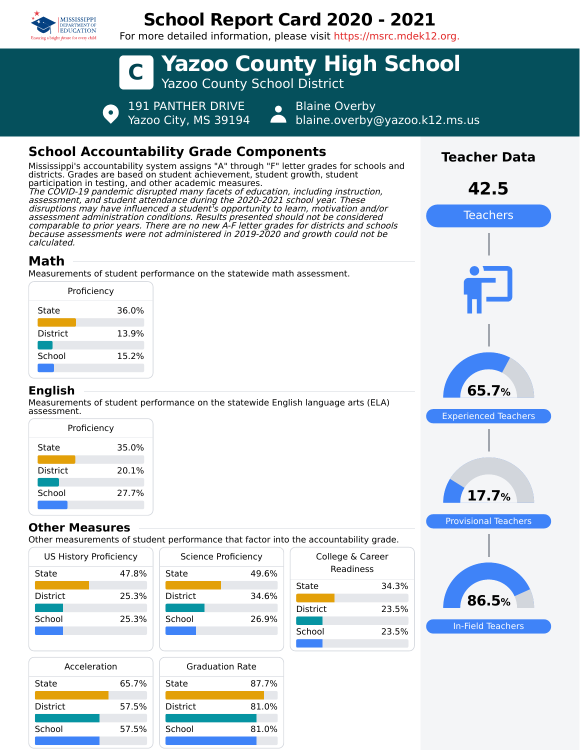

# **School Report Card 2020 - 2021**

For more detailed information, please visit https://msrc.mdek12.org.



# **School Accountability Grade Components**

Mississippi's accountability system assigns "A" through "F" letter grades for schools and districts. Grades are based on student achievement, student growth, student participation in testing, and other academic measures. The COVID-19 pandemic disrupted many facets of education, including instruction, assessment, and student attendance during the 2020-2021 school year. These disruptions may have influenced a student's opportunity to learn, motivation and/or assessment administration conditions. Results presented should not be considered comparable to prior years. There are no new A-F letter grades for districts and schools because assessments were not administered in 2019-2020 and growth could not be calculated.

## **Math**

Measurements of student performance on the statewide math assessment.

| Proficiency     |       |
|-----------------|-------|
| State           | 36.0% |
| <b>District</b> | 13.9% |
| School          | 15.2% |
|                 |       |

#### **English**

Measurements of student performance on the statewide English language arts (ELA) assessment.

| Proficiency     |       |  |
|-----------------|-------|--|
| State           | 35.0% |  |
| <b>District</b> | 20.1% |  |
| School          | 27.7% |  |

### **Other Measures**

Other measurements of student performance that factor into the accountability grade.

| US History Proficiency |       |
|------------------------|-------|
| State                  | 47.8% |
| <b>District</b>        | 25.3% |
| School                 | 25.3% |
|                        |       |

| Science Proficiency |       |
|---------------------|-------|
| State               | 49.6% |
| <b>District</b>     | 34.6% |
| School              | 26.9% |
|                     |       |

| Acceleration    |       |        |
|-----------------|-------|--------|
| State           | 65.7% | State  |
| <b>District</b> | 57.5% | Distri |
| School          | 57.5% | Scho   |
|                 |       |        |

| <b>Graduation Rate</b> |       |
|------------------------|-------|
| State                  | 87.7% |
| <b>District</b>        | 81.0% |
| School                 | 81.0% |

| che accountability graac.     |  |
|-------------------------------|--|
| College & Career<br>Readiness |  |
| 34.3%                         |  |
| 23.5%                         |  |
| 23.5%                         |  |
|                               |  |



In-Field Teachers

**86.5%**